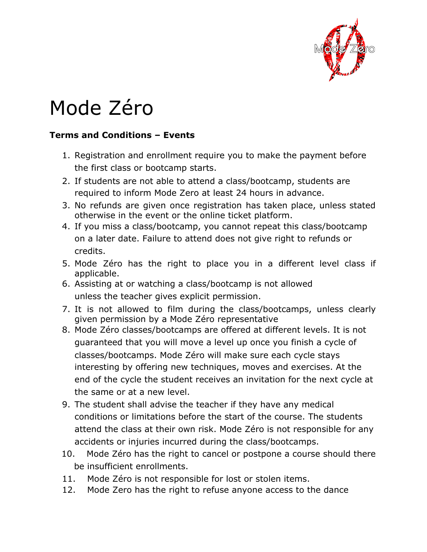

## Mode Zéro

## **Terms and Conditions – Events**

- 1. Registration and enrollment require you to make the payment before the first class or bootcamp starts.
- 2. If students are not able to attend a class/bootcamp, students are required to inform Mode Zero at least 24 hours in advance.
- 3. No refunds are given once registration has taken place, unless stated otherwise in the event or the online ticket platform.
- 4. If you miss a class/bootcamp, you cannot repeat this class/bootcamp on a later date. Failure to attend does not give right to refunds or credits.
- 5. Mode Zéro has the right to place you in a different level class if applicable.
- 6. Assisting at or watching a class/bootcamp is not allowed unless the teacher gives explicit permission.
- 7. It is not allowed to film during the class/bootcamps, unless clearly given permission by a Mode Zéro representative
- 8. Mode Zéro classes/bootcamps are offered at different levels. It is not guaranteed that you will move a level up once you finish a cycle of classes/bootcamps. Mode Zéro will make sure each cycle stays interesting by offering new techniques, moves and exercises. At the end of the cycle the student receives an invitation for the next cycle at the same or at a new level.
- 9. The student shall advise the teacher if they have any medical conditions or limitations before the start of the course. The students attend the class at their own risk. Mode Zéro is not responsible for any accidents or injuries incurred during the class/bootcamps.
- 10. Mode Zéro has the right to cancel or postpone a course should there be insufficient enrollments.
- 11. Mode Zéro is not responsible for lost or stolen items.
- 12. Mode Zero has the right to refuse anyone access to the dance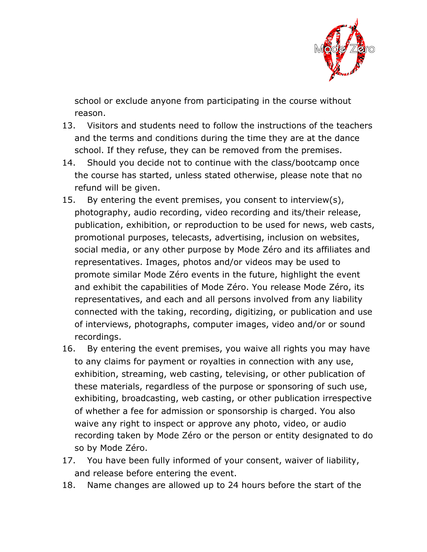

school or exclude anyone from participating in the course without reason.

- 13. Visitors and students need to follow the instructions of the teachers and the terms and conditions during the time they are at the dance school. If they refuse, they can be removed from the premises.
- 14. Should you decide not to continue with the class/bootcamp once the course has started, unless stated otherwise, please note that no refund will be given.
- 15. By entering the event premises, you consent to interview(s), photography, audio recording, video recording and its/their release, publication, exhibition, or reproduction to be used for news, web casts, promotional purposes, telecasts, advertising, inclusion on websites, social media, or any other purpose by Mode Zéro and its affiliates and representatives. Images, photos and/or videos may be used to promote similar Mode Zéro events in the future, highlight the event and exhibit the capabilities of Mode Zéro. You release Mode Zéro, its representatives, and each and all persons involved from any liability connected with the taking, recording, digitizing, or publication and use of interviews, photographs, computer images, video and/or or sound recordings.
- 16. By entering the event premises, you waive all rights you may have to any claims for payment or royalties in connection with any use, exhibition, streaming, web casting, televising, or other publication of these materials, regardless of the purpose or sponsoring of such use, exhibiting, broadcasting, web casting, or other publication irrespective of whether a fee for admission or sponsorship is charged. You also waive any right to inspect or approve any photo, video, or audio recording taken by Mode Zéro or the person or entity designated to do so by Mode Zéro.
- 17. You have been fully informed of your consent, waiver of liability, and release before entering the event.
- 18. Name changes are allowed up to 24 hours before the start of the